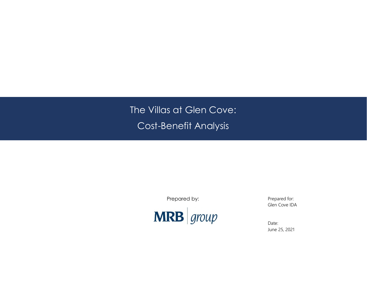The Villas at Glen Cove: Cost-Benefit Analysis

Prepared by:



Prepared for: Glen Cove IDA

Date: June 25, 2021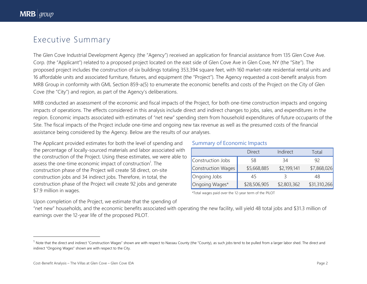## Executive Summary

The Glen Cove Industrial Development Agency (the "Agency") received an application for financial assistance from 135 Glen Cove Ave. Corp. (the "Applicant") related to a proposed project located on the east side of Glen Cove Ave in Glen Cove, NY (the "Site"). The proposed project includes the construction of six buildings totaling 353,394 square feet, with 160 market-rate residential rental units and 16 affordable units and associated furniture, fixtures, and equipment (the "Project"). The Agency requested a cost-benefit analysis from MRB Group in conformity with GML Section 859-a(5) to enumerate the economic benefits and costs of the Project on the City of Glen Cove (the "City") and region, as part of the Agency's deliberations.

MRB conducted an assessment of the economic and fiscal impacts of the Project, for both one-time construction impacts and ongoing impacts of operations. The effects considered in this analysis include direct and indirect changes to jobs, sales, and expenditures in the region. Economic impacts associated with estimates of "net new" spending stem from household expenditures of future occupants of the Site. The fiscal impacts of the Project include one-time and ongoing new tax revenue as well as the presumed costs of the financial assistance being considered by the Agency. Below are the results of our analyses.

The Applicant provided estimates for both the level of spending and the percentage of locally-sourced materials and labor associated with the construction of the Project. Using these estimates, we were able to assess the one-time economic impact of construction<sup>1</sup>. The construction phase of the Project will create 58 direct, on-site construction jobs and 34 indirect jobs. Therefore, in total, the construction phase of the Project will create 92 jobs and generate \$7.9 million in wages.

#### Summary of Economic Impacts

|                    | Direct       | Indirect    | Total        |
|--------------------|--------------|-------------|--------------|
| Construction Jobs  | 58           | 34          | 92           |
| Construction Wages | \$5,668,885  | \$2,199,141 | \$7,868,026  |
| Ongoing Jobs       | 45           |             | 48           |
| Ongoing Wages*     | \$28,506,905 | \$2,803,362 | \$31,310,266 |

\*Total wages paid over the 12-year term of the PILOT

Upon completion of the Project, we estimate that the spending of "net new" households, and the economic benefits associated with operating the new facility, will yield 48 total jobs and \$31.3 million of earnings over the 12-year life of the proposed PILOT.

<sup>&</sup>lt;sup>1</sup> Note that the direct and indirect "Construction Wages" shown are with respect to Nassau County (the "County), as such jobs tend to be pulled from a larger labor shed. The direct and indirect "Ongoing Wages" shown are with respect to the City.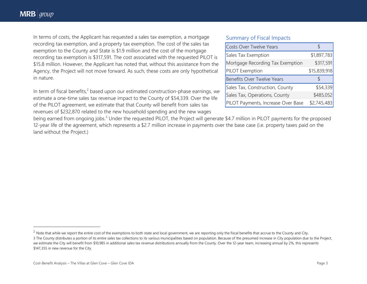In terms of costs, the Applicant has requested a sales tax exemption, a mortgage recording tax exemption, and a property tax exemption. The cost of the sales tax exemption to the County and State is \$1.9 million and the cost of the mortgage recording tax exemption is \$317,591. The cost associated with the requested PILOT is \$15.8 million. However, the Applicant has noted that, without this assistance from the Agency, the Project will not move forward. As such, these costs are only hypothetical in nature.

In term of fiscal benefits, $2$  based upon our estimated construction-phase earnings, we estimate a one-time sales tax revenue impact to the County of \$54,339. Over the life of the PILOT agreement, we estimate that that County will benefit from sales tax revenues of \$232,870 related to the new household spending and the new wages

#### Summary of Fiscal Impacts

| Costs Over Twelve Years          |              |
|----------------------------------|--------------|
| Sales Tax Exemption              | \$1,897,783  |
| Mortgage Recording Tax Exemption | \$317,591    |
| PILOT Exemption                  | \$15,839,918 |
|                                  |              |
| Benefits Over Twelve Years       |              |
| Sales Tax, Construction, County  | \$54,339     |
| Sales Tax, Operations, County    | \$485,052    |

being earned from ongoing jobs.<sup>3</sup> Under the requested PILOT, the Project will generate \$4.7 million in PILOT payments for the proposed 12-year life of the agreement, which represents a \$2.7 million increase in payments over the base case (i.e. property taxes paid on the land without the Project.)

 $2$  Note that while we report the entire cost of the exemptions to both state and local government, we are reporting only the fiscal benefits that accrue to the County and City. 3 The County distributes a portion of its entire sales tax collections to its various municipalities based on population. Because of the presumed increase in City population due to the Project, we estimate the City will benefit from \$10,985 in additional sales tax revenue distributions annually from the County. Over the 12-year team, increasing annual by 2%, this represents \$147,355 in new revenue for the City.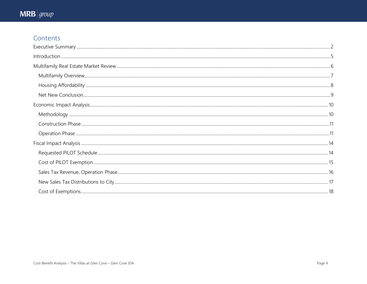# $MRB |$ group

## Contents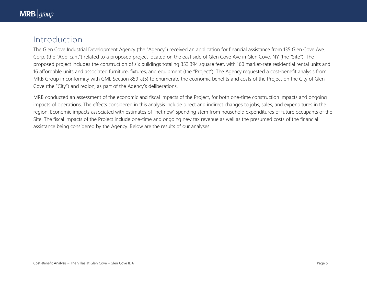## Introduction

The Glen Cove Industrial Development Agency (the "Agency") received an application for financial assistance from 135 Glen Cove Ave. Corp. (the "Applicant") related to a proposed project located on the east side of Glen Cove Ave in Glen Cove, NY (the "Site"). The proposed project includes the construction of six buildings totaling 353,394 square feet, with 160 market-rate residential rental units and 16 affordable units and associated furniture, fixtures, and equipment (the "Project"). The Agency requested a cost-benefit analysis from MRB Group in conformity with GML Section 859-a(5) to enumerate the economic benefits and costs of the Project on the City of Glen Cove (the "City") and region, as part of the Agency's deliberations.

MRB conducted an assessment of the economic and fiscal impacts of the Project, for both one-time construction impacts and ongoing impacts of operations. The effects considered in this analysis include direct and indirect changes to jobs, sales, and expenditures in the region. Economic impacts associated with estimates of "net new" spending stem from household expenditures of future occupants of the Site. The fiscal impacts of the Project include one-time and ongoing new tax revenue as well as the presumed costs of the financial assistance being considered by the Agency. Below are the results of our analyses.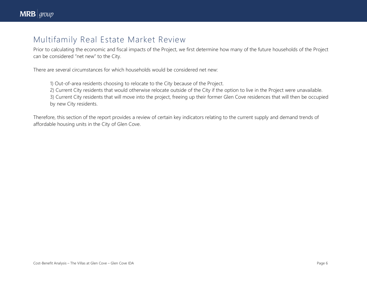## Multifamily Real Estate Market Review

Prior to calculating the economic and fiscal impacts of the Project, we first determine how many of the future households of the Project can be considered "net new" to the City.

There are several circumstances for which households would be considered net new:

1) Out-of-area residents choosing to relocate to the City because of the Project.

2) Current City residents that would otherwise relocate outside of the City if the option to live in the Project were unavailable. 3) Current City residents that will move into the project, freeing up their former Glen Cove residences that will then be occupied by new City residents.

Therefore, this section of the report provides a review of certain key indicators relating to the current supply and demand trends of affordable housing units in the City of Glen Cove.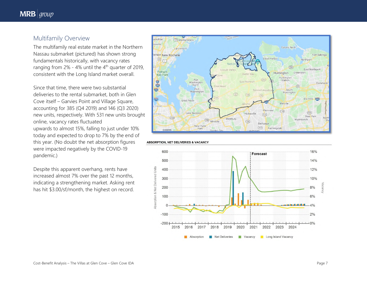#### Multifamily Overview

The multifamily real estate market in the Northern Nassau submarket (pictured) has shown strong fundamentals historically, with vacancy rates ranging from  $2\%$  - 4% until the  $4^{\text{th}}$  quarter of 2019, consistent with the Long Island market overall.

Since that time, there were two substantial deliveries to the rental submarket, both in Glen Cove itself – Garvies Point and Village Square, accounting for 385 (Q4 2019) and 146 (Q3 2020) new units, respectively. With 531 new units brought online, vacancy rates fluctuated upwards to almost 15%, falling to just under 10% today and expected to drop to 7% by the end of this year. (No doubt the net absorption figures were impacted negatively by the COVID -19 pandemic.)

Despite this apparent overhang, rents have increased almost 7% over the past 12 months, indicating a strengthening market. Asking rent has hit \$3.00/sf/month, the highest on record.





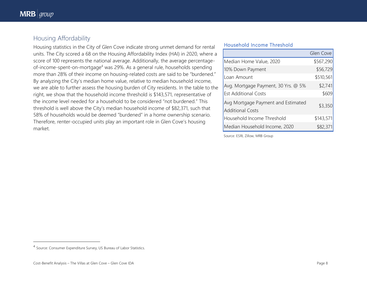## Housing Affordability

Housing statistics in the City of Glen Cove indicate strong unmet demand for rental units. The City scored a 68 on the Housing Affordability Index (HAI) in 2020, where a score of 100 represents the national average. Additionally, the average percentageof-income-spent-on-mortgage<sup>4</sup> was 29%. As a general rule, households spending more than 28% of their income on housing-related costs are said to be "burdened." By analyzing the City's median home value, relative to median household income, we are able to further assess the housing burden of City residents. In the table to the right, we show that the household income threshold is \$143,571, representative of the income level needed for a household to be considered "not burdened." This threshold is well above the City's median household income of \$82,371, such that 58% of households would be deemed "burdened" in a home ownership scenario. Therefore, renter-occupied units play an important role in Glen Cove's housing market.

#### **Household Income Threshold**

|                                                               | Glen Cove |
|---------------------------------------------------------------|-----------|
| Median Home Value, 2020                                       | \$567,290 |
| 10% Down Payment                                              | \$56,729  |
| Loan Amount                                                   | \$510,561 |
| Avg. Mortgage Payment, 30 Yrs. @ 5%                           | \$2,741   |
| <b>Est Additional Costs</b>                                   | \$609     |
| Avg Mortgage Payment and Estimated<br><b>Additional Costs</b> | \$3,350   |
| Household Income Threshold                                    | \$143,571 |
| Median Household Income, 2020                                 | \$82,371  |

Source: ESRI, Zillow, MRB Group

<sup>&</sup>lt;sup>4</sup> Source: Consumer Expenditure Survey, US Bureau of Labor Statistics.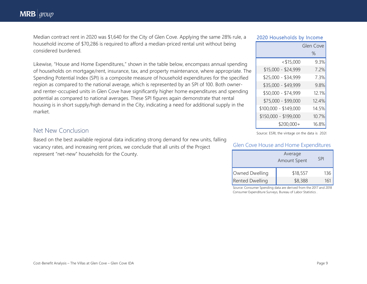Median contract rent in 2020 was \$1,640 for the City of Glen Cove. Applying the same 28% rule, a household income of \$70,286 is required to afford a median-priced rental unit without being considered burdened.

#### **2020 Households by Income**

|                       | Glen Cove |
|-----------------------|-----------|
|                       | %         |
| $<$ \$15,000          | 9.3%      |
| $$15,000 - $24,999$   | 7.2%      |
| \$25,000 - \$34,999   | 7.3%      |
| \$35,000 - \$49,999   | 9.8%      |
| \$50,000 - \$74,999   | 12.1%     |
| \$75,000 - \$99,000   | 12.4%     |
| \$100,000 - \$149,000 | 14.5%     |
| \$150,000 - \$199,000 | 10.7%     |
| $$200,000+$           | 16.8%     |

Likewise, "House and Home Expenditures," shown in the table below, encompass annual spending of households on mortgage/rent, insurance, tax, and property maintenance, where appropriate. The Spending Potential Index (SPI) is a composite measure of household expenditures for the specified region as compared to the national average, which is represented by an SPI of 100. Both ownerand renter-occupied units in Glen Cove have significantly higher home expenditures and spending potential as compared to national averages. These SPI figures again demonstrate that rental housing is in short supply/high demand in the City, indicating a need for additional supply in the market.

### Net New Conclusion

Based on the best available regional data indicating strong demand for new units, falling vacancy rates, and increasing rent prices, we conclude that all units of the Project represent "net-new" households for the County.

Source: ESRI, the vintage on the data is 2020

#### Glen Cove House and Home Expenditures

| Average<br><b>Amount Spent</b> |          | SPI |
|--------------------------------|----------|-----|
| Owned Dwelling                 | \$18,557 | 136 |
| <b>Rented Dwelling</b>         | \$8,388  |     |

Source: Consumer Spending data are derived from the 2017 and 2018 Consumer Expenditure Surveys, Bureau of Labor Statistics .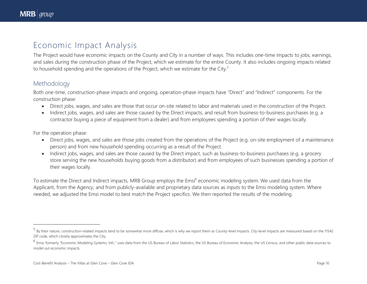## Economic Impact Analysis

The Project would have economic impacts on the County and City in a number of ways. This includes one-time impacts to jobs, earnings, and sales during the construction phase of the Project, which we estimate for the entire County. It also includes ongoing impacts related to household spending and the operations of the Project, which we estimate for the City.<sup>5</sup>

## Methodology

Both one-time, construction-phase impacts and ongoing, operation-phase impacts have "Direct" and "Indirect" components. For the construction phase:

- Direct jobs, wages, and sales are those that occur on-site related to labor and materials used in the construction of the Project.
- Indirect jobs, wages, and sales are those caused by the Direct impacts, and result from business-to-business purchases (e.g. a contractor buying a piece of equipment from a dealer) and from employees spending a portion of their wages locally.

For the operation phase:

- Direct jobs, wages, and sales are those jobs created from the operations of the Project (e.g. on-site employment of a maintenance person) and from new household spending occurring as a result of the Project.
- Indirect jobs, wages, and sales are those caused by the Direct impact, such as business-to-business purchases (e.g. a grocery store serving the new households buying goods from a distributor) and from employees of such businesses spending a portion of their wages locally.

To estimate the Direct and Indirect impacts, MRB Group employs the Emsi<sup>6</sup> economic modeling system. We used data from the Applicant, from the Agency, and from publicly-available and proprietary data sources as inputs to the Emsi modeling system. Where needed, we adjusted the Emsi model to best match the Project specifics. We then reported the results of the modeling.

<sup>&</sup>lt;sup>5</sup> By their nature, construction-related impacts tend to be somewhat more diffuse, which is why we report them as County-level impacts. City-level impacts are measured based on the 11542 ZIP code, which closely approximates the City.

<sup>&</sup>lt;sup>6</sup> Emsi, formerly "Economic Modeling Systems, Intl.," uses data from the US Bureau of Labor Statistics, the US Bureau of Economic Analysis, the US Census, and other public data sources to model out economic impacts.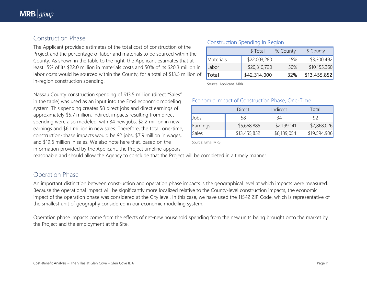## Construction Phase

The Applicant provided estimates of the total cost of construction of the Project and the percentage of labor and materials to be sourced within the County. As shown in the table to the right, the Applicant estimates that at least 15% of its \$22.0 million in materials costs and 50% of its \$20.3 million in labor costs would be sourced within the County, for a total of \$13.5 million of in-region construction spending.

Nassau County construction spending of \$13.5 million (direct "Sales" in the table) was used as an input into the Emsi economic modeling system. This spending creates 58 direct jobs and direct earnings of approximately \$5.7 million. Indirect impacts resulting from direct spending were also modeled, with 34 new jobs, \$2.2 million in new earnings and \$6.1 million in new sales. Therefore, the total, one-time, construction-phase impacts would be 92 jobs, \$7.9 million in wages, and \$19.6 million in sales. We also note here that, based on the information provided by the Applicant, the Project timeline appears

## Construction Spending In Region

|           | \$ Total     | % County | \$ County    |
|-----------|--------------|----------|--------------|
| Materials | \$22,003,280 | 15%      | \$3,300,492  |
| Labor     | \$20,310,720 | 50%      | \$10,155,360 |
| Total     | \$42,314,000 | 32%      | \$13,455,852 |

Source: Applicant, MRB

#### Economic Impact of Construction Phase, One-Time

|              | <b>Direct</b> | Indirect    | Total        |
|--------------|---------------|-------------|--------------|
| <b>Jobs</b>  | 58            | 34          | 92           |
| Earnings     | \$5,668,885   | \$2,199,141 | \$7,868,026  |
| <b>Sales</b> | \$13,455,852  | \$6,139,054 | \$19,594,906 |

Source: Emsi, MRB

reasonable and should allow the Agency to conclude that the Project will be completed in a timely manner.

## Operation Phase

An important distinction between construction and operation phase impacts is the geographical level at which impacts were measured. Because the operational impact will be significantly more localized relative to the County-level construction impacts, the economic impact of the operation phase was considered at the City level. In this case, we have used the 11542 ZIP Code, which is representative of the smallest unit of geography considered in our economic modelling system.

Operation phase impacts come from the effects of net-new household spending from the new units being brought onto the market by the Project and the employment at the Site.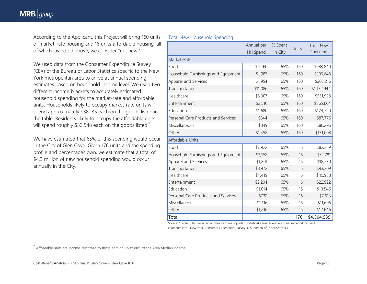According to the Applicant, this Project will bring 160 units of market-rate housing and 16 units affordable housing, all of which, as noted above, we consider "net new."

We used data from the Consumer Expenditure Survey (CEX) of the Bureau of Labor Statistics specific to the New York metropolitan area to arrive at annual spending estimates based on household income level. We used two different income brackets to accurately estimated household spending for the market-rate and affordable units. Households likely to occupy market-rate units will spend approximately \$38,135 each on the goods listed in the table. Residents likely to occupy the affordable units will spend roughly \$32,548 each on the goods listed.<sup>7</sup>

We have estimated that 65% of this spending would occur in the City of Glen Cove. Given 176 units and the spending profile and percentages own, we estimate that a total of \$4.3 million of new household spending would occur annually in the City.

#### Total New Household Spending

|                                     | Annual per<br>HH Spend | % Spent<br>in City | Units | <b>Total New</b><br>Spending |
|-------------------------------------|------------------------|--------------------|-------|------------------------------|
| Market-Rate                         |                        |                    |       |                              |
| Food                                | \$9,460                | 65%                | 160   | \$983,840                    |
| Household Furnishings and Equipment | \$1,987                | 65%                | 160   | \$206,648                    |
| Apparel and Services                | \$1,954                | 65%                | 160   | \$203,216                    |
| Transportation                      | \$11,086               | 65%                | 160   | \$1,152,944                  |
| Healthcare                          | \$5,307                | 65%                | 160   | \$551,928                    |
| Entertainment                       | \$3,516                | 65%                | 160   | \$365,664                    |
| Education                           | \$1,680                | 65%                | 160   | \$174,720                    |
| Personal Care Products and Services | \$844                  | 65%                | 160   | \$87,776                     |
| Miscellaneous                       | \$849                  | 65%                | 160   | \$88,296                     |
| Other                               | \$1,452                | 65%                | 160   | \$151,008                    |
| Affordable Units                    |                        |                    |       |                              |
| Food                                | \$7,922                | 65%                | 16    | \$82,389                     |
| Household Furnishings and Equipment | \$3,152                | 65%                | 16    | \$32,781                     |
| Apparel and Services                | \$1,801                | 65%                | 16    | \$18,730                     |
| Transportation                      | \$8,972                | 65%                | 16    | \$93,309                     |
| Healthcare                          | \$4,419                | 65%                | 16    | \$45,958                     |
| Entertainment                       | \$2,204                | 65%                | 16    | \$22,922                     |
| Education                           | \$1,014                | 65%                | 16    | \$10,546                     |
| Personal Care Products and Services | \$732                  | 65%                | 16    | \$7,613                      |
| Miscellaneous                       | \$1,116                | 65%                | 16    | \$11,606                     |
| Other                               | \$1,216                | 65%                | 16    | \$12,646                     |
| Total                               |                        |                    | 176   | \$4,304,539                  |

Source: "Table 3004. Selected northeastern metropolitan statistical areas: Average annual expenditures and characteristics", New York, Consumer Expenditure Survey, U.S. Bureau of Labor Statistics.

 $<sup>7</sup>$  Affordable units are income-restricted to those earning up to 80% of the Area Median Income.</sup>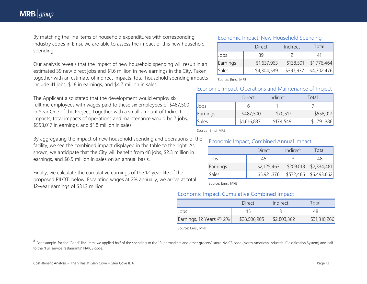By matching the line items of household expenditures with corresponding industry codes in Emsi, we are able to assess the impact of this new household spending.<sup>8</sup>

Our analysis reveals that the impact of new household spending will result in an estimated 39 new direct jobs and \$1.6 million in new earnings in the City. Taken together with an estimate of indirect impacts, total household spending impacts include 41 jobs, \$1.8 in earnings, and \$4.7 million in sales.

The Applicant also stated that the development would employ six fulltime employees with wages paid to these six employees of \$487,500 in Year One of the Project. Together with a small amount of Indirect impacts, total impacts of operations and maintenance would be 7 jobs, \$558,017 in earnings, and \$1.8 million in sales.

By aggregating the impact of new household spending and operations of the facility, we see the combined impact displayed in the table to the right. As shown, we anticipate that the City will benefit from 48 jobs, \$2.3 million in earnings, and \$6.5 million in sales on an annual basis.

Finally, we calculate the cumulative earnings of the 12-year life of the proposed PILOT, below. Escalating wages at 2% annually, we arrive at total 12-year earnings of \$31.3 million.

#### Economic Impact, New Household Spending

|          | Direct      | Indirect  | Total       |
|----------|-------------|-----------|-------------|
| Jobs     | 39          |           |             |
| Earnings | \$1,637,963 | \$138,501 | \$1,776,464 |
| Sales    | \$4,304,539 | \$397,937 | \$4,702,476 |

Source: Emsi, MRB

#### Economic Impact, Operations and Maintenance of Project

|          | Direct      | Indirect  | Total       |
|----------|-------------|-----------|-------------|
| Jobs     |             |           |             |
| Earnings | \$487,500   | \$70,517  | \$558,017   |
| Sales    | \$1,616,837 | \$174,549 | \$1,791,386 |

Source: Emsi, MRB

#### Economic Impact, Combined Annual Impact

|          | <b>Direct</b> | Indirect | Total                   |
|----------|---------------|----------|-------------------------|
| Jobs     | 45            |          | 48                      |
| Earnings | \$2,125,463   |          | $$209,018$ $$2,334,481$ |
| Sales    | \$5,921,376   |          |                         |

Source: Emsi, MRB

#### Economic Impact, Cumulative Combined Impact

|                         | Direct       | Indirect    | Total        |
|-------------------------|--------------|-------------|--------------|
| <b>Jobs</b>             |              |             |              |
| Earnings, 12 Years @ 2% | \$28,506,905 | \$2,803,362 | \$31,310,266 |

Source: Emsi, MRB

<sup>&</sup>lt;sup>8</sup> For example, for the "Food" line item, we applied half of the spending to the "Supermarkets and other grocery" store NAICS code (North American Industrial Classification System) and half to the "Full service restaurants" NAICS code.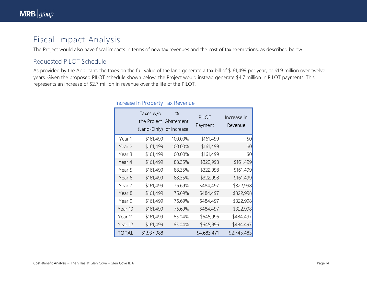## Fiscal Impact Analysis

The Project would also have fiscal impacts in terms of new tax revenues and the cost of tax exemptions, as described below.

## Requested PILOT Schedule

As provided by the Applicant, the taxes on the full value of the land generate a tax bill of \$161,499 per year, or \$1.9 million over twelve years. Given the proposed PILOT schedule shown below, the Project would instead generate \$4.7 million in PILOT payments. This represents an increase of \$2.7 million in revenue over the life of the PILOT.

|              | Taxes w/o<br>the Project Abatement<br>(Land-Only) of Increase | %       | <b>PILOT</b><br>Payment | Increase in<br>Revenue |
|--------------|---------------------------------------------------------------|---------|-------------------------|------------------------|
| Year 1       | \$161,499                                                     | 100.00% | \$161,499               | \$0                    |
| Year 2       | \$161,499                                                     | 100.00% | \$161,499               | \$0                    |
| Year 3       | \$161,499                                                     | 100.00% | \$161,499               | \$0                    |
| Year 4       | \$161,499                                                     | 88.35%  | \$322,998               | \$161,499              |
| Year 5       | \$161,499                                                     | 88.35%  | \$322,998               | \$161,499              |
| Year 6       | \$161,499                                                     | 88.35%  | \$322,998               | \$161,499              |
| Year 7       | \$161,499                                                     | 76.69%  | \$484,497               | \$322,998              |
| Year 8       | \$161,499                                                     | 76.69%  | \$484,497               | \$322,998              |
| Year 9       | \$161,499                                                     | 76.69%  | \$484,497               | \$322,998              |
| Year 10      | \$161,499                                                     | 76.69%  | \$484,497               | \$322,998              |
| Year 11      | \$161,499                                                     | 65.04%  | \$645,996               | \$484,497              |
| Year 12      | \$161,499                                                     | 65.04%  | \$645,996               | \$484,497              |
| <b>TOTAL</b> | \$1,937,988                                                   |         | \$4,683,471             | \$2,745,483            |

#### Increase In Property Tax Revenue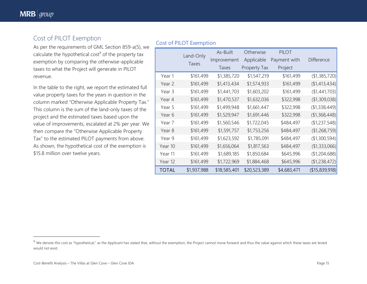## Cost of PILOT Exemption

As per the requirements of GML Section 859-a(5), we calculate the hypothetical cost $9$  of the property tax exemption by comparing the otherwise-applicable taxes to what the Project will generate in PILOT revenue.

In the table to the right, we report the estimated full value property taxes for the years in question in the column marked "Otherwise Applicable Property Tax." This column is the sum of the land-only taxes of the project and the estimated taxes based upon the value of improvements, escalated at 2% per year. We then compare the "Otherwise Applicable Property Tax" to the estimated PILOT payments from above. As shown, the hypothetical cost of the exemption is \$15.8 million over twelve years.

### Cost of PILOT Exemption

|              |             | As-Built     | Otherwise           | <b>PILOT</b> |                   |
|--------------|-------------|--------------|---------------------|--------------|-------------------|
|              | Land-Only   | Improvement  | Applicable          | Payment with | <b>Difference</b> |
|              | Taxes       | Taxes        | <b>Property Tax</b> | Project      |                   |
| Year 1       | \$161,499   | \$1,385,720  | \$1,547,219         | \$161,499    | (\$1,385,720)     |
| Year 2       | \$161,499   | \$1,413,434  | \$1,574,933         | \$161,499    | (\$1,413,434)     |
| Year 3       | \$161,499   | \$1,441,703  | \$1,603,202         | \$161,499    | (\$1,441,703)     |
| Year 4       | \$161,499   | \$1,470,537  | \$1,632,036         | \$322,998    | (\$1,309,038)     |
| Year 5       | \$161,499   | \$1,499,948  | \$1,661,447         | \$322,998    | (\$1,338,449)     |
| Year 6       | \$161,499   | \$1,529,947  | \$1,691,446         | \$322,998    | (\$1,368,448)     |
| Year 7       | \$161,499   | \$1,560,546  | \$1,722,045         | \$484,497    | (\$1,237,548)     |
| Year 8       | \$161,499   | \$1,591,757  | \$1,753,256         | \$484,497    | (\$1,268,759)     |
| Year 9       | \$161,499   | \$1,623,592  | \$1,785,091         | \$484,497    | (\$1,300,594)     |
| Year 10      | \$161,499   | \$1,656,064  | \$1,817,563         | \$484,497    | (\$1,333,066)     |
| Year 11      | \$161,499   | \$1,689,185  | \$1,850,684         | \$645,996    | (\$1,204,688)     |
| Year 12      | \$161,499   | \$1,722,969  | \$1,884,468         | \$645,996    | (\$1,238,472)     |
| <b>TOTAL</b> | \$1,937,988 | \$18,585,401 | \$20,523,389        | \$4,683,471  | (\$15,839,918)    |

<sup>&</sup>lt;sup>9</sup> We denote this cost as "hypothetical," as the Applicant has stated that, without the exemption, the Project cannot move forward and thus the value against which these taxes are levied would not exist.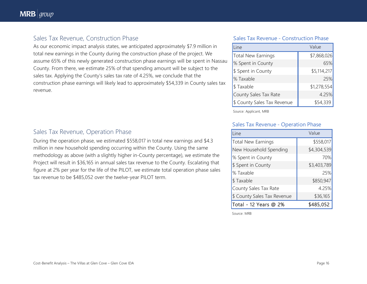### Sales Tax Revenue, Construction Phase

As our economic impact analysis states, we anticipated approximately \$7.9 million in total new earnings in the County during the construction phase of the project. We assume 65% of this newly generated construction phase earnings will be spent in Nassau County. From there, we estimate 25% of that spending amount will be subject to the sales tax. Applying the County's sales tax rate of 4.25%, we conclude that the construction phase earnings will likely lead to approximately \$54,339 in County sales tax revenue.

#### Sales Tax Revenue - Construction Phase

| Line                        | Value       |  |
|-----------------------------|-------------|--|
| <b>Total New Earnings</b>   | \$7,868,026 |  |
| % Spent in County           | 65%         |  |
| \$ Spent in County          | \$5,114,217 |  |
| % Taxable                   | 25%         |  |
| \$Taxable                   | \$1,278,554 |  |
| County Sales Tax Rate       | 4.25%       |  |
| \$ County Sales Tax Revenue | \$54,339    |  |

Source: Applicant, MRB

#### Sales Tax Revenue - Operation Phase

| l ine                       | Value       |
|-----------------------------|-------------|
| <b>Total New Earnings</b>   | \$558,017   |
| New Household Spending      | \$4,304,539 |
| % Spent in County           | 70%         |
| \$ Spent in County          | \$3,403,789 |
| % Taxable                   | 25%         |
| \$Taxable                   | \$850,947   |
| County Sales Tax Rate       | 4.25%       |
| \$ County Sales Tax Revenue | \$36,165    |
| Total - 12 Years @ 2%       | \$485,052   |

Source: MRB

### Sales Tax Revenue, Operation Phase

During the operation phase, we estimated \$558,017 in total new earnings and \$4.3 million in new household spending occurring within the County. Using the same methodology as above (with a slightly higher in-County percentage), we estimate the Project will result in \$36,165 in annual sales tax revenue to the County. Escalating that figure at 2% per year for the life of the PILOT, we estimate total operation phase sales tax revenue to be \$485,052 over the twelve-year PILOT term.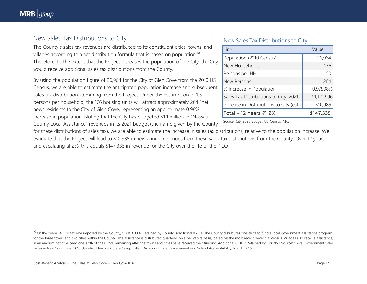## New Sales Tax Distributions to City

The County's sales tax revenues are distributed to its constituent cities, towns, and villages according to a set distribution formula that is based on population.<sup>10</sup> Therefore, to the extent that the Project increases the population of the City, the City would receive additional sales tax distributions from the County.

By using the population figure of 26,964 for the City of Glen Cove from the 2010 US Census, we are able to estimate the anticipated population increase and subsequent sales tax distribution stemming from the Project. Under the assumption of 1.5 persons per household, the 176 housing units will attract approximately 264 "net new" residents to the City of Glen Cove, representing an approximate 0.98% increase in population. Noting that the City has budgeted \$1.1 million in "Nassau County Local Assistance" revenues in its 2021 budget (the name given by the County

#### New Sales Tax Distributions to City

| Line                                     | Value       |
|------------------------------------------|-------------|
| Population (2010 Census)                 | 26,964      |
| New Households                           | 176         |
| Persons per HH                           | 1.50        |
| New Persons                              | 264         |
| % Increase in Population                 | 0.97908%    |
| Sales Tax Distributions to City (2021)   | \$1,121,996 |
| Increase in Distributions to City (est.) | \$10,985    |
| Total - 12 Years @ 2%                    | \$147,335   |

Source: City 2020 Budget, US Census, MRB

for these distributions of sales tax), we are able to estimate the increase in sales tax distributions, relative to the population increase. We estimate that the Project will lead to \$10,985 in new annual revenues from these sales tax distributions from the County. Over 12 years and escalating at 2%, this equals \$147,335 in revenue for the City over the life of the PILOT.

 $^{10}$  Of the overall 4.25% tax rate imposed by the County, "First 3.00%: Retained by County. Additional 0.75%: The County distributes one-third to fund a local government assistance program for the three towns and two cities within the County. The assistance is distributed quarterly, on a per capita basis, based on the most recent decennial census. Villages also receive assistance, in an amount not to exceed one-sixth of the 0.75% remaining after the towns and cities have received their funding. Additional 0.50%: Retained by County." Source: "Local Government Sales Taxes in New York State: 2015 Update." New York State Comptroller, Division of Local Government and School Accountability, March 2015.